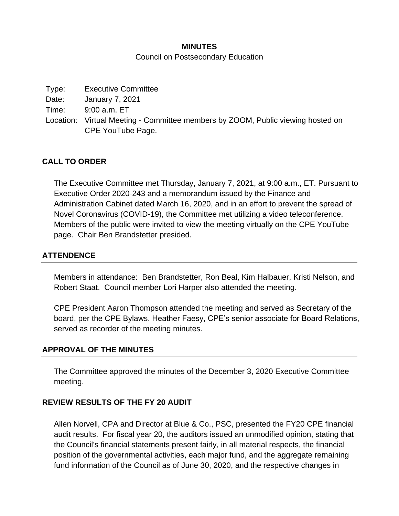## **MINUTES** Council on Postsecondary Education

| Type: | <b>Executive Committee</b>                                                                           |
|-------|------------------------------------------------------------------------------------------------------|
| Date: | January 7, 2021                                                                                      |
| Time: | 9:00 a.m. ET                                                                                         |
|       | Location: Virtual Meeting - Committee members by ZOOM, Public viewing hosted on<br>CPE YouTube Page. |

### **CALL TO ORDER**

The Executive Committee met Thursday, January 7, 2021, at 9:00 a.m., ET. Pursuant to Executive Order 2020-243 and a memorandum issued by the Finance and Administration Cabinet dated March 16, 2020, and in an effort to prevent the spread of Novel Coronavirus (COVID-19), the Committee met utilizing a video teleconference. Members of the public were invited to view the meeting virtually on the CPE YouTube page. Chair Ben Brandstetter presided.

### **ATTENDENCE**

Members in attendance: Ben Brandstetter, Ron Beal, Kim Halbauer, Kristi Nelson, and Robert Staat. Council member Lori Harper also attended the meeting.

CPE President Aaron Thompson attended the meeting and served as Secretary of the board, per the CPE Bylaws. Heather Faesy, CPE's senior associate for Board Relations, served as recorder of the meeting minutes.

#### **APPROVAL OF THE MINUTES**

The Committee approved the minutes of the December 3, 2020 Executive Committee meeting.

#### **REVIEW RESULTS OF THE FY 20 AUDIT**

Allen Norvell, CPA and Director at Blue & Co., PSC, presented the FY20 CPE financial audit results. For fiscal year 20, the auditors issued an unmodified opinion, stating that the Council's financial statements present fairly, in all material respects, the financial position of the governmental activities, each major fund, and the aggregate remaining fund information of the Council as of June 30, 2020, and the respective changes in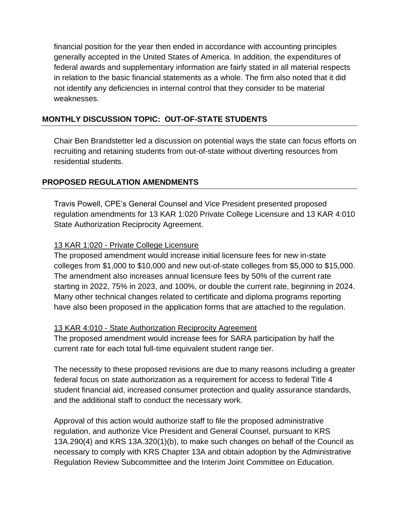financial position for the year then ended in accordance with accounting principles generally accepted in the United States of America. In addition, the expenditures of federal awards and supplementary information are fairly stated in all material respects in relation to the basic financial statements as a whole. The firm also noted that it did not identify any deficiencies in internal control that they consider to be material weaknesses.

# **MONTHLY DISCUSSION TOPIC: OUT-OF-STATE STUDENTS**

Chair Ben Brandstetter led a discussion on potential ways the state can focus efforts on recruiting and retaining students from out-of-state without diverting resources from residential students.

## **PROPOSED REGULATION AMENDMENTS**

Travis Powell, CPE's General Counsel and Vice President presented proposed regulation amendments for 13 KAR 1:020 Private College Licensure and 13 KAR 4:010 State Authorization Reciprocity Agreement.

## 13 KAR 1:020 - Private College Licensure

The proposed amendment would increase initial licensure fees for new in-state colleges from \$1,000 to \$10,000 and new out-of-state colleges from \$5,000 to \$15,000. The amendment also increases annual licensure fees by 50% of the current rate starting in 2022, 75% in 2023, and 100%, or double the current rate, beginning in 2024. Many other technical changes related to certificate and diploma programs reporting have also been proposed in the application forms that are attached to the regulation.

## 13 KAR 4:010 - State Authorization Reciprocity Agreement

The proposed amendment would increase fees for SARA participation by half the current rate for each total full-time equivalent student range tier.

The necessity to these proposed revisions are due to many reasons including a greater federal focus on state authorization as a requirement for access to federal Title 4 student financial aid, increased consumer protection and quality assurance standards, and the additional staff to conduct the necessary work.

Approval of this action would authorize staff to file the proposed administrative regulation, and authorize Vice President and General Counsel, pursuant to KRS 13A.290(4) and KRS 13A.320(1)(b), to make such changes on behalf of the Council as necessary to comply with KRS Chapter 13A and obtain adoption by the Administrative Regulation Review Subcommittee and the Interim Joint Committee on Education.